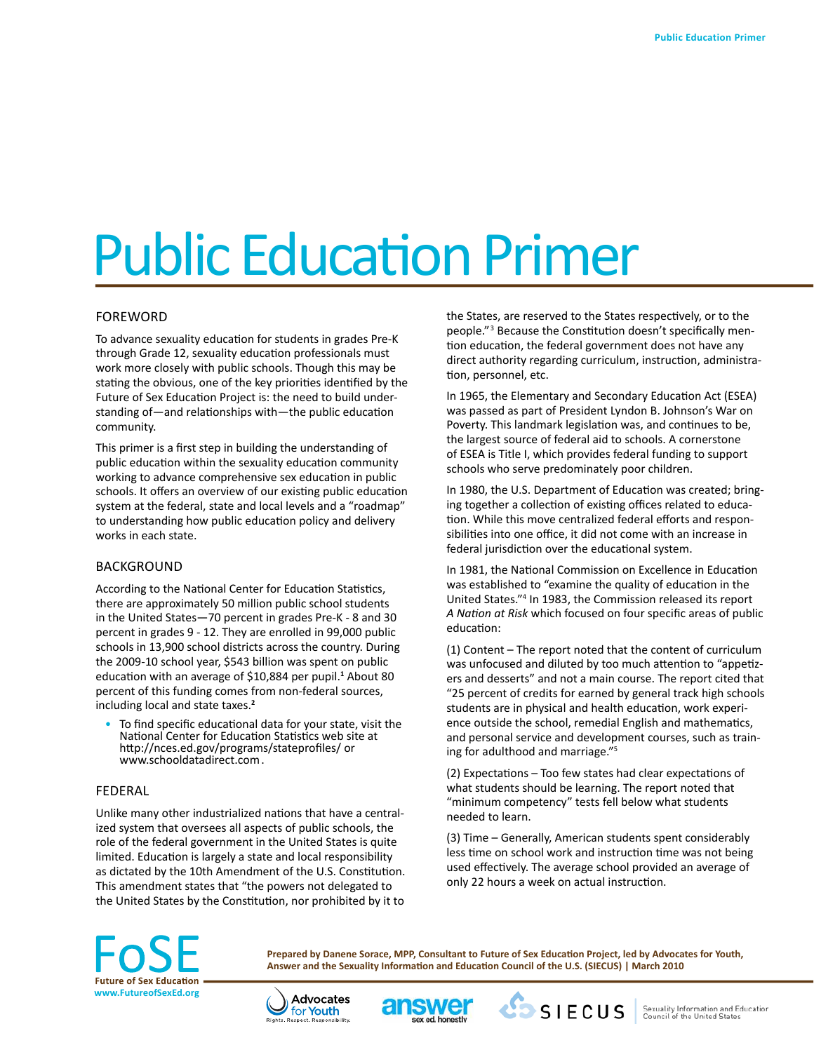# Public Education Primer

## FOREWORD

To advance sexuality education for students in grades Pre-K through Grade 12, sexuality education professionals must work more closely with public schools. Though this may be stating the obvious, one of the key priorities identified by the Future of Sex Education Project is: the need to build understanding of—and relationships with—the public education community.

This primer is a first step in building the understanding of public education within the sexuality education community working to advance comprehensive sex education in public schools. It offers an overview of our existing public education system at the federal, state and local levels and a "roadmap" to understanding how public education policy and delivery works in each state.

#### BACKGROUND

According to the National Center for Education Statistics, there are approximately 50 million public school students in the United States—70 percent in grades Pre-K - 8 and 30 percent in grades 9 - 12. They are enrolled in 99,000 public schools in 13,900 school districts across the country. During the 2009-10 school year, \$543 billion was spent on public education with an average of \$10,884 per pupil.**<sup>1</sup>** About 80 percent of this funding comes from non-federal sources, including local and state taxes.**<sup>2</sup>**

To find specific educational data for your state, visit the National Center for Education Statistics web site at http://nces.ed.gov/programs/stateprofiles/ or www.schooldatadirect.com .

#### FEDERAL

Unlike many other industrialized nations that have a centralized system that oversees all aspects of public schools, the role of the federal government in the United States is quite limited. Education is largely a state and local responsibility as dictated by the 10th Amendment of the U.S. Constitution. This amendment states that "the powers not delegated to the United States by the Constitution, nor prohibited by it to the States, are reserved to the States respectively, or to the people."<sup>3</sup> Because the Constitution doesn't specifically mention education, the federal government does not have any direct authority regarding curriculum, instruction, administration, personnel, etc.

In 1965, the Elementary and Secondary Education Act (ESEA) was passed as part of President Lyndon B. Johnson's War on Poverty. This landmark legislation was, and continues to be, the largest source of federal aid to schools. A cornerstone of ESEA is Title I, which provides federal funding to support schools who serve predominately poor children.

In 1980, the U.S. Department of Education was created; bringing together a collection of existing offices related to education. While this move centralized federal efforts and responsibilities into one office, it did not come with an increase in federal jurisdiction over the educational system.

In 1981, the National Commission on Excellence in Education was established to "examine the quality of education in the United States."4 In 1983, the Commission released its report *A Nation at Risk* which focused on four specific areas of public education:

(1) Content – The report noted that the content of curriculum was unfocused and diluted by too much attention to "appetizers and desserts" and not a main course. The report cited that "25 percent of credits for earned by general track high schools students are in physical and health education, work experience outside the school, remedial English and mathematics, and personal service and development courses, such as training for adulthood and marriage."5

(2) Expectations – Too few states had clear expectations of what students should be learning. The report noted that "minimum competency" tests fell below what students needed to learn.

(3) Time – Generally, American students spent considerably less time on school work and instruction time was not being used effectively. The average school provided an average of only 22 hours a week on actual instruction.



**Prepared by Danene Sorace, MPP, Consultant to Future of Sex Education Project, led by Advocates for Youth, Answer and the Sexuality Information and Education Council of the U.S. (SIECUS) | March 2010** 





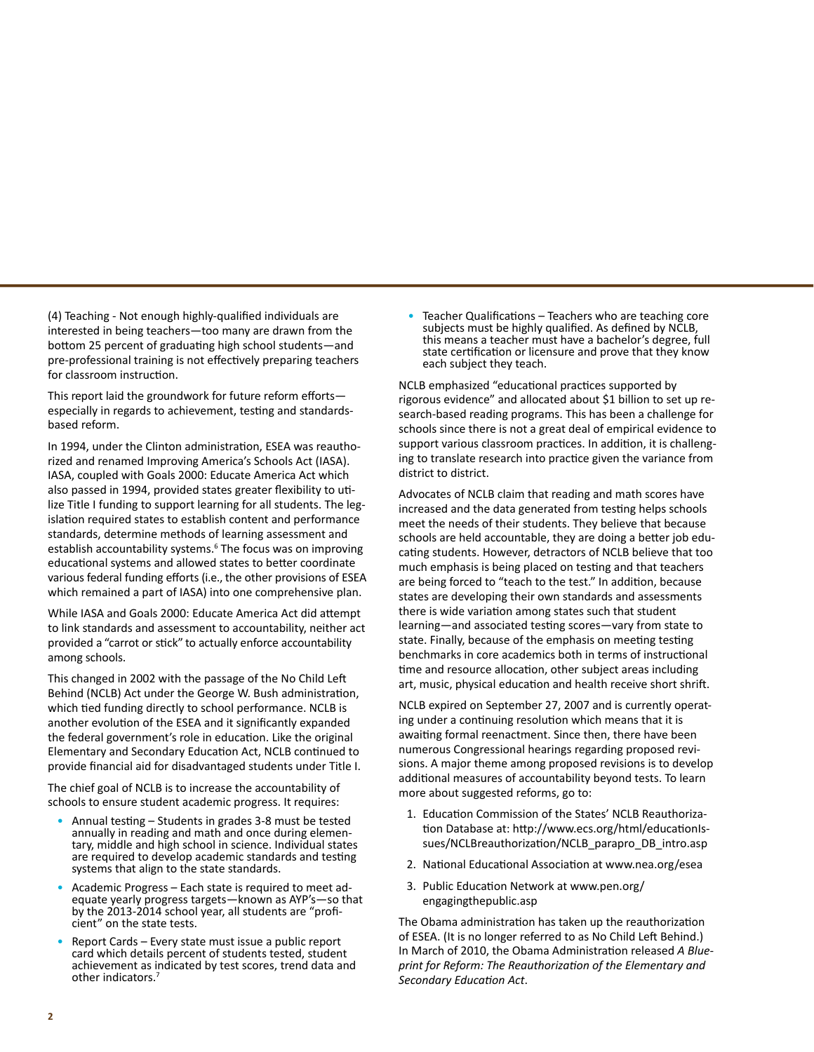(4) Teaching - Not enough highly-qualified individuals are interested in being teachers—too many are drawn from the bottom 25 percent of graduating high school students—and pre-professional training is not effectively preparing teachers for classroom instruction.

This report laid the groundwork for future reform efforts especially in regards to achievement, testing and standardsbased reform.

In 1994, under the Clinton administration, ESEA was reauthorized and renamed Improving America's Schools Act (IASA). IASA, coupled with Goals 2000: Educate America Act which also passed in 1994, provided states greater flexibility to utilize Title I funding to support learning for all students. The legislation required states to establish content and performance standards, determine methods of learning assessment and establish accountability systems.<sup>6</sup> The focus was on improving educational systems and allowed states to better coordinate various federal funding efforts (i.e., the other provisions of ESEA which remained a part of IASA) into one comprehensive plan.

While IASA and Goals 2000: Educate America Act did attempt to link standards and assessment to accountability, neither act provided a "carrot or stick" to actually enforce accountability among schools.

This changed in 2002 with the passage of the No Child Left Behind (NCLB) Act under the George W. Bush administration, which tied funding directly to school performance. NCLB is another evolution of the ESEA and it significantly expanded the federal government's role in education. Like the original Elementary and Secondary Education Act, NCLB continued to provide financial aid for disadvantaged students under Title I.

The chief goal of NCLB is to increase the accountability of schools to ensure student academic progress. It requires:

- Annual testing Students in grades 3-8 must be tested annually in reading and math and once during elemen- tary, middle and high school in science. Individual states are required to develop academic standards and testing systems that align to the state standards.
- Academic Progress Each state is required to meet ad- equate yearly progress targets—known as AYP's—so that by the 2013-2014 school year, all students are "profi- cient" on the state tests.
- Report Cards Every state must issue a public report card which details percent of students tested, student achievement as indicated by test scores, trend data and other indicators.7

• Teacher Qualifications – Teachers who are teaching core subjects must be highly qualified. As defined by NCLB, this means a teacher must have a bachelor's degree, full state certification or licensure and prove that they know each subject they teach.

NCLB emphasized "educational practices supported by rigorous evidence" and allocated about \$1 billion to set up research-based reading programs. This has been a challenge for schools since there is not a great deal of empirical evidence to support various classroom practices. In addition, it is challenging to translate research into practice given the variance from district to district.

Advocates of NCLB claim that reading and math scores have increased and the data generated from testing helps schools meet the needs of their students. They believe that because schools are held accountable, they are doing a better job educating students. However, detractors of NCLB believe that too much emphasis is being placed on testing and that teachers are being forced to "teach to the test." In addition, because states are developing their own standards and assessments there is wide variation among states such that student learning—and associated testing scores—vary from state to state. Finally, because of the emphasis on meeting testing benchmarks in core academics both in terms of instructional time and resource allocation, other subject areas including art, music, physical education and health receive short shrift.

NCLB expired on September 27, 2007 and is currently operating under a continuing resolution which means that it is awaiting formal reenactment. Since then, there have been numerous Congressional hearings regarding proposed revisions. A major theme among proposed revisions is to develop additional measures of accountability beyond tests. To learn more about suggested reforms, go to:

- 1. Education Commission of the States' NCLB Reauthorization Database at: http://www.ecs.org/html/educationIssues/NCLBreauthorization/NCLB\_parapro\_DB\_intro.asp
- 2. National Educational Association at www.nea.org/esea
- 3. Public Education Network at www.pen.org/ engagingthepublic.asp

The Obama administration has taken up the reauthorization of ESEA. (It is no longer referred to as No Child Left Behind.) In March of 2010, the Obama Administration released *A Blueprint for Reform: The Reauthorization of the Elementary and Secondary Education Act*.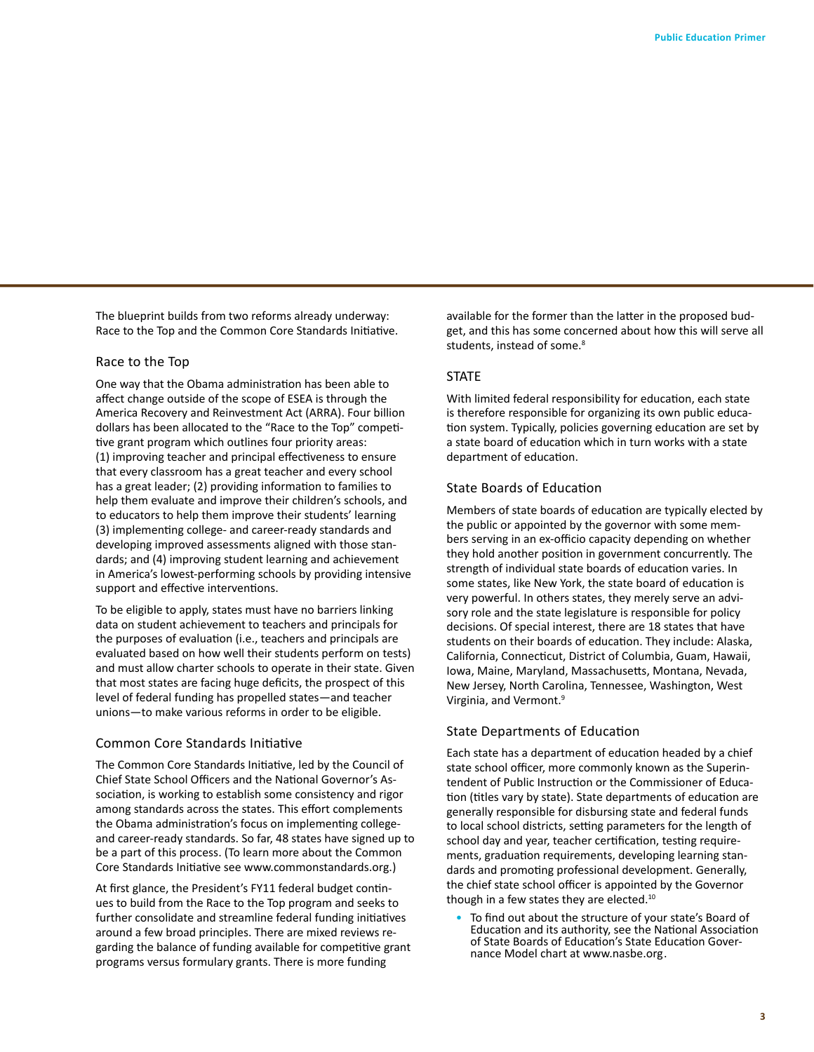The blueprint builds from two reforms already underway: Race to the Top and the Common Core Standards Initiative.

## Race to the Top

One way that the Obama administration has been able to affect change outside of the scope of ESEA is through the America Recovery and Reinvestment Act (ARRA). Four billion dollars has been allocated to the "Race to the Top" competitive grant program which outlines four priority areas: (1) improving teacher and principal effectiveness to ensure that every classroom has a great teacher and every school has a great leader; (2) providing information to families to help them evaluate and improve their children's schools, and to educators to help them improve their students' learning (3) implementing college- and career-ready standards and developing improved assessments aligned with those standards; and (4) improving student learning and achievement in America's lowest-performing schools by providing intensive support and effective interventions.

To be eligible to apply, states must have no barriers linking data on student achievement to teachers and principals for the purposes of evaluation (i.e., teachers and principals are evaluated based on how well their students perform on tests) and must allow charter schools to operate in their state. Given that most states are facing huge deficits, the prospect of this level of federal funding has propelled states—and teacher unions—to make various reforms in order to be eligible.

#### Common Core Standards Initiative

The Common Core Standards Initiative, led by the Council of Chief State School Officers and the National Governor's Association, is working to establish some consistency and rigor among standards across the states. This effort complements the Obama administration's focus on implementing collegeand career-ready standards. So far, 48 states have signed up to be a part of this process. (To learn more about the Common Core Standards Initiative see www.commonstandards.org.)

At first glance, the President's FY11 federal budget continues to build from the Race to the Top program and seeks to further consolidate and streamline federal funding initiatives around a few broad principles. There are mixed reviews regarding the balance of funding available for competitive grant programs versus formulary grants. There is more funding

available for the former than the latter in the proposed budget, and this has some concerned about how this will serve all students, instead of some.<sup>8</sup>

## **STATE**

With limited federal responsibility for education, each state is therefore responsible for organizing its own public education system. Typically, policies governing education are set by a state board of education which in turn works with a state department of education.

#### State Boards of Education

Members of state boards of education are typically elected by the public or appointed by the governor with some members serving in an ex-officio capacity depending on whether they hold another position in government concurrently. The strength of individual state boards of education varies. In some states, like New York, the state board of education is very powerful. In others states, they merely serve an advisory role and the state legislature is responsible for policy decisions. Of special interest, there are 18 states that have students on their boards of education. They include: Alaska, California, Connecticut, District of Columbia, Guam, Hawaii, Iowa, Maine, Maryland, Massachusetts, Montana, Nevada, New Jersey, North Carolina, Tennessee, Washington, West Virginia, and Vermont.9

#### State Departments of Education

Each state has a department of education headed by a chief state school officer, more commonly known as the Superintendent of Public Instruction or the Commissioner of Education (titles vary by state). State departments of education are generally responsible for disbursing state and federal funds to local school districts, setting parameters for the length of school day and year, teacher certification, testing requirements, graduation requirements, developing learning standards and promoting professional development. Generally, the chief state school officer is appointed by the Governor though in a few states they are elected.<sup>10</sup>

To find out about the structure of your state's Board of Education and its authority, see the National Association of State Boards of Education's State Education Gover- nance Model chart at www.nasbe.org.